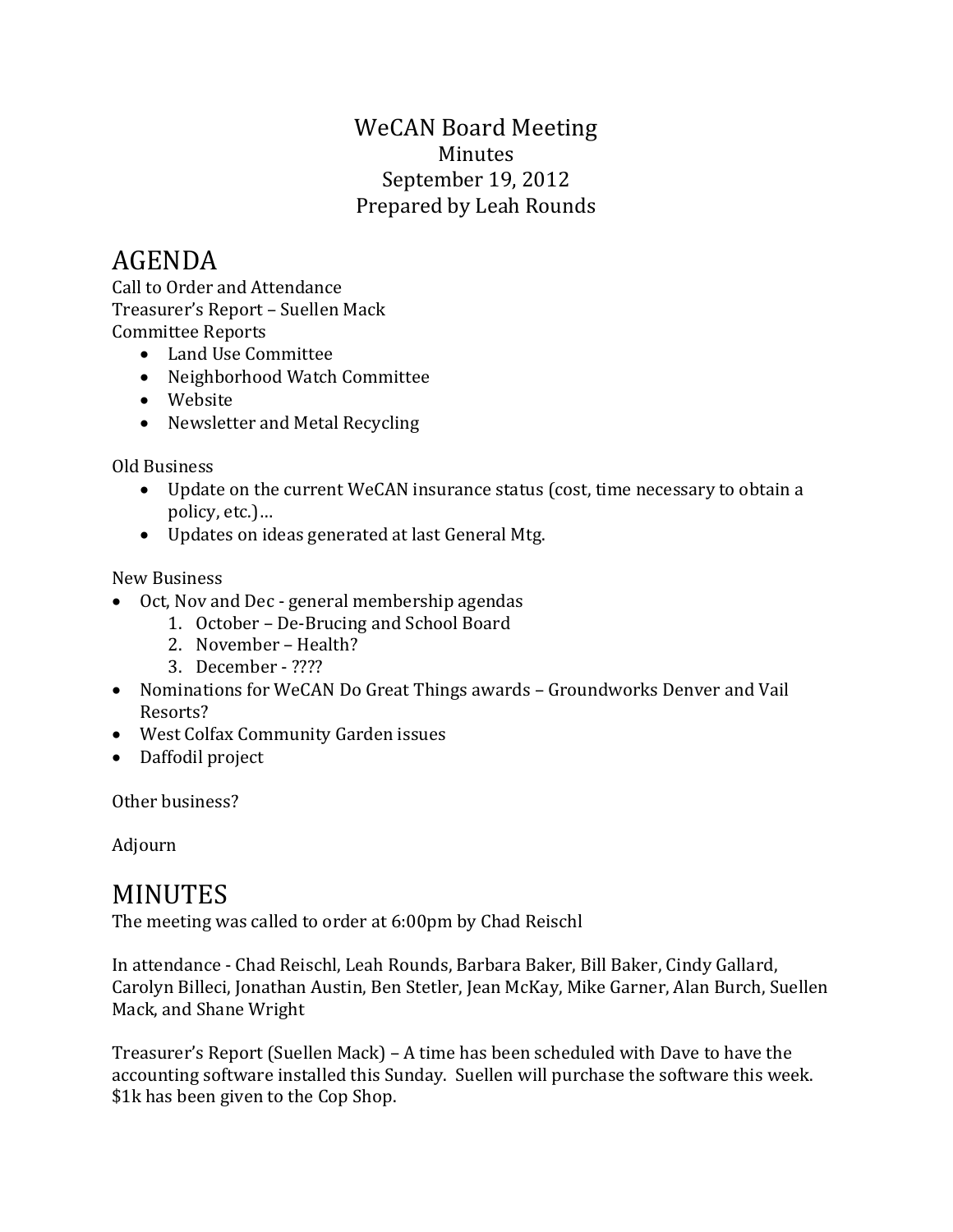## WeCAN Board Meeting Minutes September 19, 2012 Prepared by Leah Rounds

## AGENDA

Call to Order and Attendance Treasurer's Report – Suellen Mack Committee Reports

- Land Use Committee
- Neighborhood Watch Committee
- Website
- Newsletter and Metal Recycling

Old Business

- Update on the current WeCAN insurance status (cost, time necessary to obtain a policy, etc.)…
- Updates on ideas generated at last General Mtg.

New Business

- Oct, Nov and Dec general membership agendas
	- 1. October De-Brucing and School Board
	- 2. November Health?
	- 3. December ????
- Nominations for WeCAN Do Great Things awards Groundworks Denver and Vail Resorts?
- West Colfax Community Garden issues
- Daffodil project

Other business?

Adjourn

## MINUTES

The meeting was called to order at 6:00pm by Chad Reischl

In attendance - Chad Reischl, Leah Rounds, Barbara Baker, Bill Baker, Cindy Gallard, Carolyn Billeci, Jonathan Austin, Ben Stetler, Jean McKay, Mike Garner, Alan Burch, Suellen Mack, and Shane Wright

Treasurer's Report (Suellen Mack) – A time has been scheduled with Dave to have the accounting software installed this Sunday. Suellen will purchase the software this week. \$1k has been given to the Cop Shop.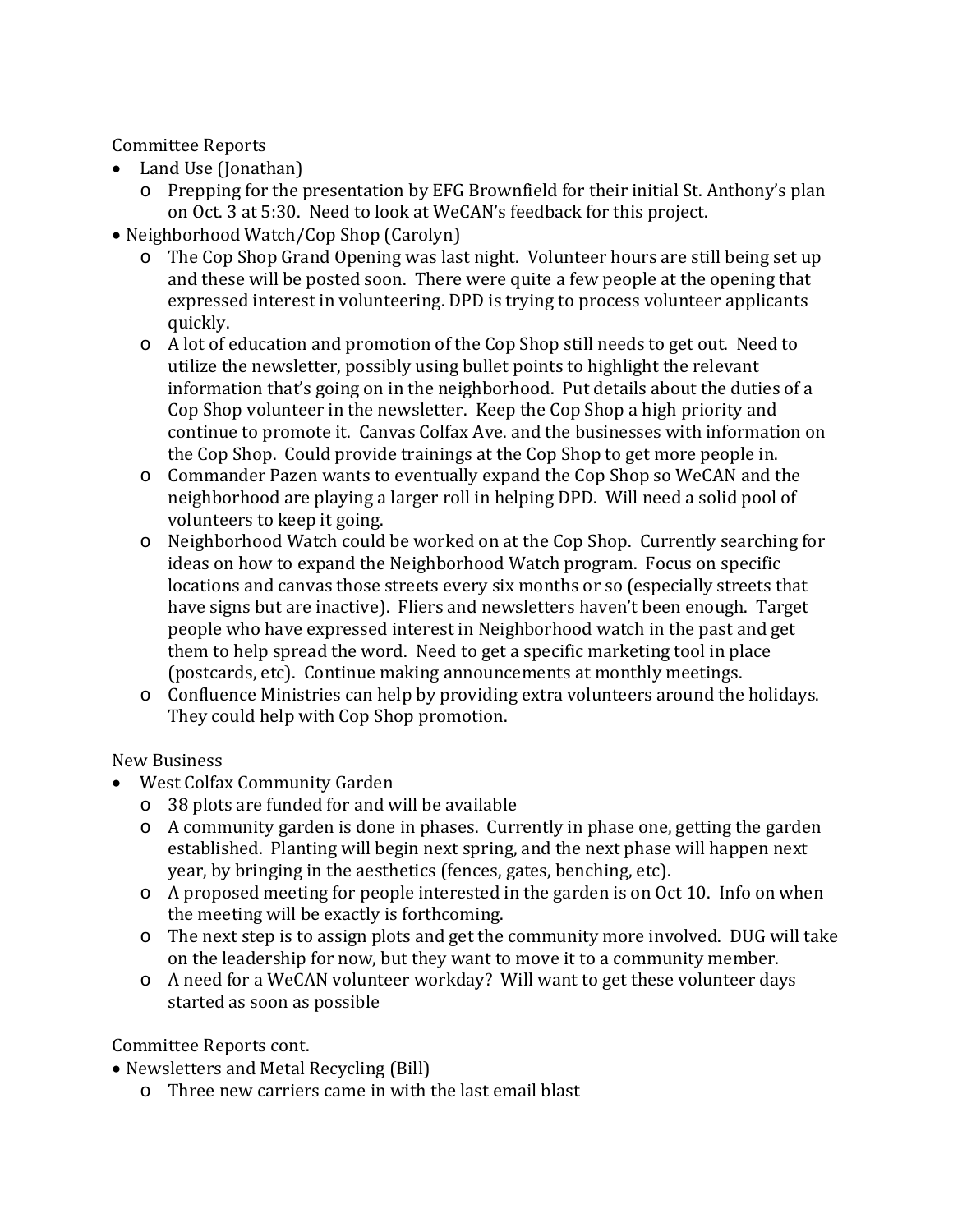Committee Reports

- Land Use (Jonathan)
	- o Prepping for the presentation by EFG Brownfield for their initial St. Anthony's plan on Oct. 3 at 5:30. Need to look at WeCAN's feedback for this project.
- Neighborhood Watch/Cop Shop (Carolyn)
	- o The Cop Shop Grand Opening was last night. Volunteer hours are still being set up and these will be posted soon. There were quite a few people at the opening that expressed interest in volunteering. DPD is trying to process volunteer applicants quickly.
	- o A lot of education and promotion of the Cop Shop still needs to get out. Need to utilize the newsletter, possibly using bullet points to highlight the relevant information that's going on in the neighborhood. Put details about the duties of a Cop Shop volunteer in the newsletter. Keep the Cop Shop a high priority and continue to promote it. Canvas Colfax Ave. and the businesses with information on the Cop Shop. Could provide trainings at the Cop Shop to get more people in.
	- o Commander Pazen wants to eventually expand the Cop Shop so WeCAN and the neighborhood are playing a larger roll in helping DPD. Will need a solid pool of volunteers to keep it going.
	- o Neighborhood Watch could be worked on at the Cop Shop. Currently searching for ideas on how to expand the Neighborhood Watch program. Focus on specific locations and canvas those streets every six months or so (especially streets that have signs but are inactive). Fliers and newsletters haven't been enough. Target people who have expressed interest in Neighborhood watch in the past and get them to help spread the word. Need to get a specific marketing tool in place (postcards, etc). Continue making announcements at monthly meetings.
	- o Confluence Ministries can help by providing extra volunteers around the holidays. They could help with Cop Shop promotion.

New Business

- West Colfax Community Garden
	- o 38 plots are funded for and will be available
	- o A community garden is done in phases. Currently in phase one, getting the garden established. Planting will begin next spring, and the next phase will happen next year, by bringing in the aesthetics (fences, gates, benching, etc).
	- o A proposed meeting for people interested in the garden is on Oct 10. Info on when the meeting will be exactly is forthcoming.
	- o The next step is to assign plots and get the community more involved. DUG will take on the leadership for now, but they want to move it to a community member.
	- o A need for a WeCAN volunteer workday? Will want to get these volunteer days started as soon as possible

Committee Reports cont.

• Newsletters and Metal Recycling (Bill)

o Three new carriers came in with the last email blast